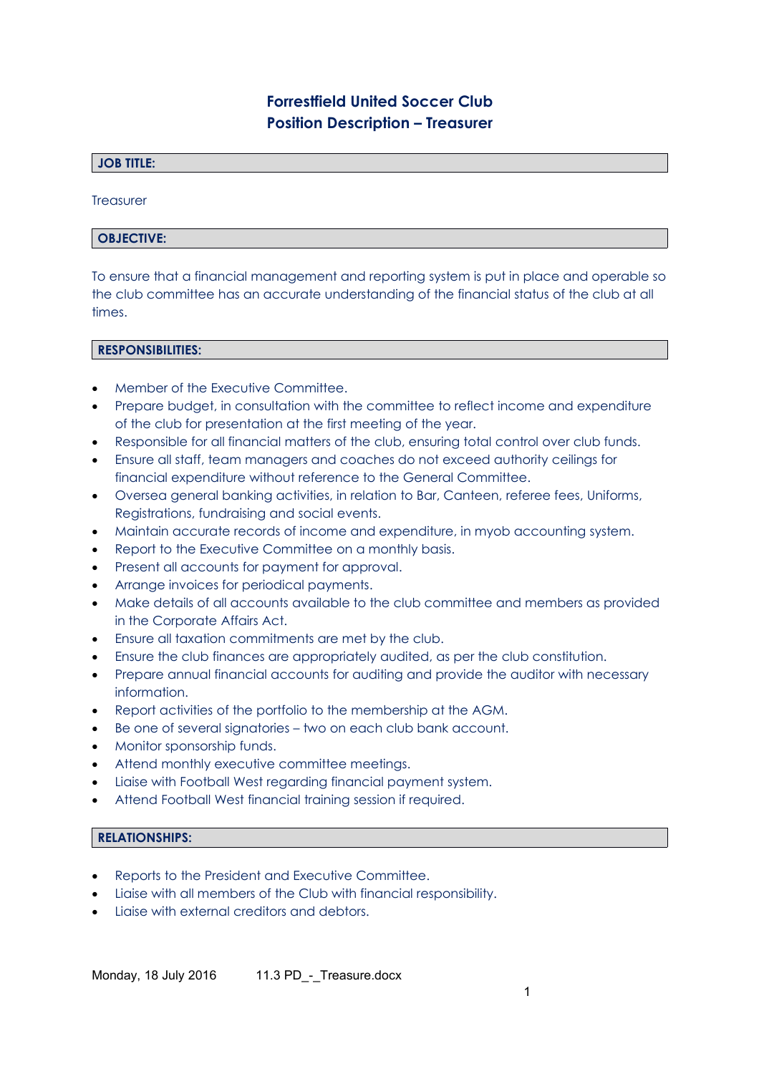# **Forrestfield United Soccer Club Position Description – Treasurer**

# **JOB TITLE:**

**Treasurer** 

## **OBJECTIVE:**

To ensure that a financial management and reporting system is put in place and operable so the club committee has an accurate understanding of the financial status of the club at all times.

#### **RESPONSIBILITIES:**

- **Member of the Executive Committee.**
- Prepare budget, in consultation with the committee to reflect income and expenditure of the club for presentation at the first meeting of the year.
- Responsible for all financial matters of the club, ensuring total control over club funds.
- Ensure all staff, team managers and coaches do not exceed authority ceilings for financial expenditure without reference to the General Committee.
- Oversea general banking activities, in relation to Bar, Canteen, referee fees, Uniforms, Registrations, fundraising and social events.
- Maintain accurate records of income and expenditure, in myob accounting system.
- Report to the Executive Committee on a monthly basis.
- Present all accounts for payment for approval.
- Arrange invoices for periodical payments.
- Make details of all accounts available to the club committee and members as provided in the Corporate Affairs Act.
- Ensure all taxation commitments are met by the club.
- Ensure the club finances are appropriately audited, as per the club constitution.
- Prepare annual financial accounts for auditing and provide the auditor with necessary information.
- Report activities of the portfolio to the membership at the AGM.
- Be one of several signatories two on each club bank account.
- Monitor sponsorship funds.
- Attend monthly executive committee meetings.
- Liaise with Football West regarding financial payment system.
- Attend Football West financial training session if required.

#### **RELATIONSHIPS:**

- Reports to the President and Executive Committee.
- Liaise with all members of the Club with financial responsibility.
- Liaise with external creditors and debtors.